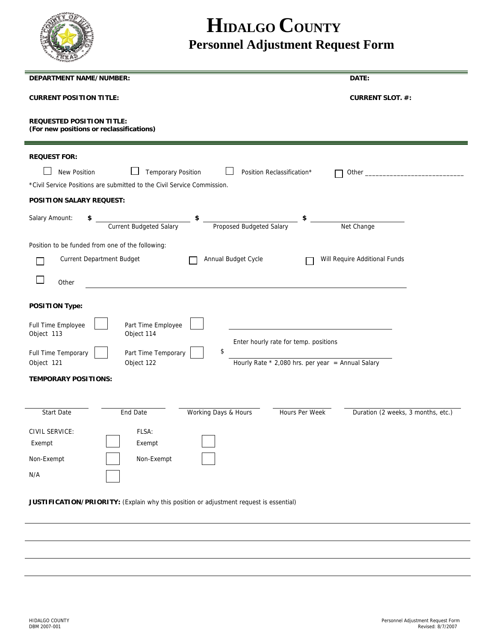

## **HIDALGO COUNTY Personnel Adjustment Request Form**

| <b>DEPARTMENT NAME/NUMBER:</b>                                                                     | DATE:                                                |  |  |  |
|----------------------------------------------------------------------------------------------------|------------------------------------------------------|--|--|--|
| <b>CURRENT POSITION TITLE:</b>                                                                     | <b>CURRENT SLOT. #:</b>                              |  |  |  |
| <b>REQUESTED POSITION TITLE:</b><br>(For new positions or reclassifications)                       |                                                      |  |  |  |
| <b>REQUEST FOR:</b>                                                                                |                                                      |  |  |  |
| <b>Temporary Position</b><br>New Position<br>Position Reclassification*                            |                                                      |  |  |  |
| *Civil Service Positions are submitted to the Civil Service Commission.                            |                                                      |  |  |  |
| <b>POSITION SALARY REQUEST:</b>                                                                    |                                                      |  |  |  |
| Salary Amount:<br><b>Current Budgeted Salary</b><br>$\sim$<br>\$<br>Proposed Budgeted Salary<br>\$ | Net Change                                           |  |  |  |
| Position to be funded from one of the following:                                                   |                                                      |  |  |  |
| <b>Current Department Budget</b><br>Annual Budget Cycle                                            | Will Require Additional Funds                        |  |  |  |
| Other                                                                                              |                                                      |  |  |  |
| <b>POSITION Type:</b>                                                                              |                                                      |  |  |  |
| Full Time Employee<br>Part Time Employee<br>Object 114<br>Object 113                               | Enter hourly rate for temp. positions                |  |  |  |
| \$<br>Full Time Temporary<br>Part Time Temporary                                                   |                                                      |  |  |  |
| Object 122<br>Object 121                                                                           | Hourly Rate $*$ 2,080 hrs. per year = Annual Salary  |  |  |  |
| <b>TEMPORARY POSITIONS:</b>                                                                        |                                                      |  |  |  |
|                                                                                                    |                                                      |  |  |  |
| Start Date<br>End Date<br>Working Days & Hours                                                     | Hours Per Week<br>Duration (2 weeks, 3 months, etc.) |  |  |  |
| CIVIL SERVICE:<br>FLSA:                                                                            |                                                      |  |  |  |
| Exempt<br>Exempt                                                                                   |                                                      |  |  |  |
| Non-Exempt<br>Non-Exempt                                                                           |                                                      |  |  |  |
| N/A                                                                                                |                                                      |  |  |  |
|                                                                                                    |                                                      |  |  |  |

**JUSTIFICATION/PRIORITY:** (Explain why this position or adjustment request is essential)